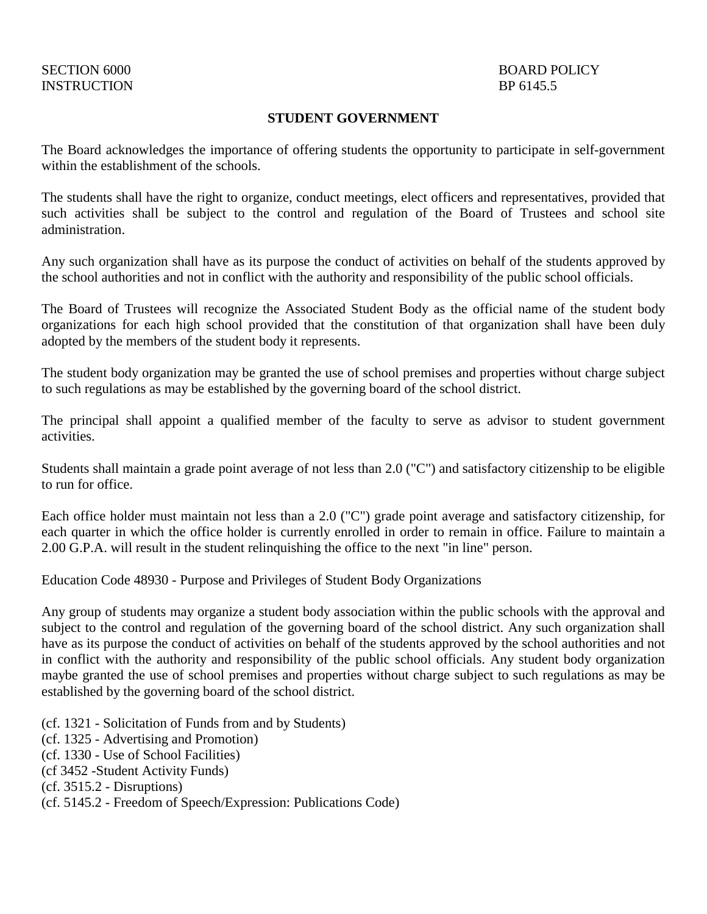#### **STUDENT GOVERNMENT**

The Board acknowledges the importance of offering students the opportunity to participate in self-government within the establishment of the schools.

The students shall have the right to organize, conduct meetings, elect officers and representatives, provided that such activities shall be subject to the control and regulation of the Board of Trustees and school site administration.

Any such organization shall have as its purpose the conduct of activities on behalf of the students approved by the school authorities and not in conflict with the authority and responsibility of the public school officials.

The Board of Trustees will recognize the Associated Student Body as the official name of the student body organizations for each high school provided that the constitution of that organization shall have been duly adopted by the members of the student body it represents.

The student body organization may be granted the use of school premises and properties without charge subject to such regulations as may be established by the governing board of the school district.

The principal shall appoint a qualified member of the faculty to serve as advisor to student government activities.

Students shall maintain a grade point average of not less than 2.0 ("C") and satisfactory citizenship to be eligible to run for office.

Each office holder must maintain not less than a 2.0 ("C") grade point average and satisfactory citizenship, for each quarter in which the office holder is currently enrolled in order to remain in office. Failure to maintain a 2.00 G.P.A. will result in the student relinquishing the office to the next "in line" person.

Education Code 48930 - Purpose and Privileges of Student Body Organizations

Any group of students may organize a student body association within the public schools with the approval and subject to the control and regulation of the governing board of the school district. Any such organization shall have as its purpose the conduct of activities on behalf of the students approved by the school authorities and not in conflict with the authority and responsibility of the public school officials. Any student body organization maybe granted the use of school premises and properties without charge subject to such regulations as may be established by the governing board of the school district.

(cf. 1321 - Solicitation of Funds from and by Students)

(cf. 1325 - Advertising and Promotion)

(cf. 1330 - Use of School Facilities)

(cf 3452 -Student Activity Funds)

(cf. 3515.2 - Disruptions)

(cf. 5145.2 - Freedom of Speech/Expression: Publications Code)